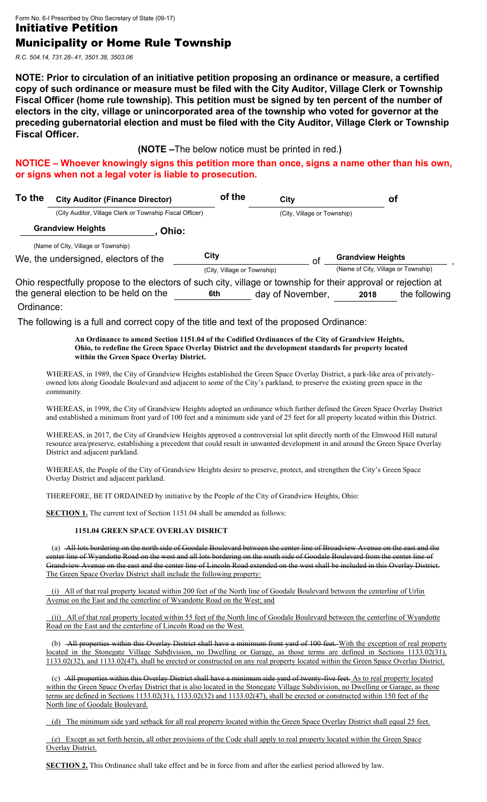## Municipality or Home Rule Township

R.C. 504.14, 731.28-.41, 3501.38, 3503.06

NOTE: Prior to circulation of an initiative petition proposing an ordinance or measure, a certified copy of such ordinance or measure must be filed with the City Auditor, Village Clerk or Township Fiscal Officer (home rule township). This petition must be signed by ten percent of the number of electors in the city, village or unincorporated area of the township who voted for governor at the preceding gubernatorial election and must be filed with the City Auditor, Village Clerk or Township Fiscal Officer.

#### (NOTE –The below notice must be printed in red.)

### NOTICE – Whoever knowingly signs this petition more than once, signs a name other than his own, or signs when not a legal voter is liable to prosecution.

| To the | <b>City Auditor (Finance Director)</b>                                      |       | of the                      | City                        | <b>of</b>                                                                                                                               |
|--------|-----------------------------------------------------------------------------|-------|-----------------------------|-----------------------------|-----------------------------------------------------------------------------------------------------------------------------------------|
|        | (City Auditor, Village Clerk or Township Fiscal Officer)                    |       |                             | (City, Village or Township) |                                                                                                                                         |
|        | <b>Grandview Heights</b>                                                    | Ohio: |                             |                             |                                                                                                                                         |
|        | (Name of City, Village or Township)<br>We, the undersigned, electors of the | City  |                             | Ωf                          | <b>Grandview Heights</b>                                                                                                                |
|        |                                                                             |       | (City, Village or Township) |                             | (Name of City, Village or Township)                                                                                                     |
|        | the general election to be held on the                                      |       | 6th                         | day of November,            | Ohio respectfully propose to the electors of such city, village or township for their approval or rejection at<br>the following<br>2018 |

Ordinance:

The following is a full and correct copy of the title and text of the proposed Ordinance:

#### An Ordinance to amend Section 1151.04 of the Codified Ordinances of the City of Grandview Heights, Ohio, to redefine the Green Space Overlay District and the development standards for property located within the Green Space Overlay District.

WHEREAS, in 1989, the City of Grandview Heights established the Green Space Overlay District, a park-like area of privatelyowned lots along Goodale Boulevard and adjacent to some of the City's parkland, to preserve the existing green space in the community.

WHEREAS, in 1998, the City of Grandview Heights adopted an ordinance which further defined the Green Space Overlay District and established a minimum front yard of 100 feet and a minimum side yard of 25 feet for all property located within this District.

WHEREAS, in 2017, the City of Grandview Heights approved a controversial lot split directly north of the Elmwood Hill natural resource area/preserve, establishing a precedent that could result in unwanted development in and around the Green Space Overlay District and adjacent parkland.

WHEREAS, the People of the City of Grandview Heights desire to preserve, protect, and strengthen the City's Green Space Overlay District and adjacent parkland.

THEREFORE, BE IT ORDAINED by initiative by the People of the City of Grandview Heights, Ohio:

SECTION 1. The current text of Section 1151.04 shall be amended as follows:

#### 1151.04 GREEN SPACE OVERLAY DISRICT

 (a) All lots bordering on the north side of Goodale Boulevard between the center line of Broadview Avenue on the east and the center line of Wyandotte Road on the west and all lots bordering on the south side of Goodale Boulevard from the center line of Grandview Avenue on the east and the center line of Lincoln Road extended on the west shall be included in this Overlay District. The Green Space Overlay District shall include the following property:

 (i) All of that real property located within 200 feet of the North line of Goodale Boulevard between the centerline of Urlin Avenue on the East and the centerline of Wyandotte Road on the West; and

 (ii) All of that real property located within 55 feet of the North line of Goodale Boulevard between the centerline of Wyandotte Road on the East and the centerline of Lincoln Road on the West.

 (b) All properties within this Overlay District shall have a minimum front yard of 100 feet. With the exception of real property located in the Stonegate Village Subdivision, no Dwelling or Garage, as those terms are defined in Sections 1133.02(31), 1133.02(32), and 1133.02(47), shall be erected or constructed on any real property located within the Green Space Overlay District.

 (c) All properties within this Overlay District shall have a minimum side yard of twenty-five feet. As to real property located within the Green Space Overlay District that is also located in the Stonegate Village Subdivision, no Dwelling or Garage, as those terms are defined in Sections 1133.02(31), 1133.02(32) and 1133.02(47), shall be erected or constructed within 150 feet of the North line of Goodale Boulevard.

(d) The minimum side yard setback for all real property located within the Green Space Overlay District shall equal 25 feet.

 (e) Except as set forth herein, all other provisions of the Code shall apply to real property located within the Green Space Overlay District.

SECTION 2. This Ordinance shall take effect and be in force from and after the earliest period allowed by law.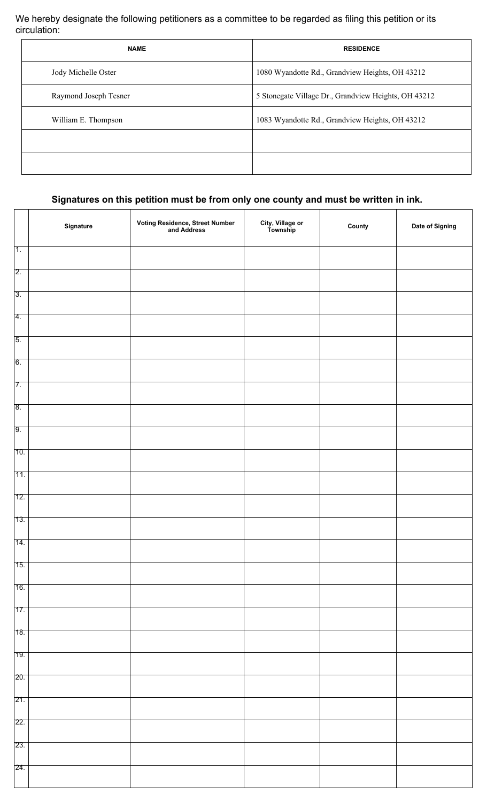We hereby designate the following petitioners as a committee to be regarded as filing this petition or its circulation:

| <b>NAME</b>           | <b>RESIDENCE</b>                                     |
|-----------------------|------------------------------------------------------|
| Jody Michelle Oster   | 1080 Wyandotte Rd., Grandview Heights, OH 43212      |
| Raymond Joseph Tesner | 5 Stonegate Village Dr., Grandview Heights, OH 43212 |
| William E. Thompson   | 1083 Wyandotte Rd., Grandview Heights, OH 43212      |
|                       |                                                      |
|                       |                                                      |

### Signatures on this petition must be from only one county and must be written in ink.

|                  | Signature | Voting Residence, Street Number<br>and Address | City, Village or<br>Township | County | Date of Signing |
|------------------|-----------|------------------------------------------------|------------------------------|--------|-----------------|
| $\overline{1}$ . |           |                                                |                              |        |                 |
| $\overline{2}$ . |           |                                                |                              |        |                 |
| $\overline{3}$ . |           |                                                |                              |        |                 |
| $\overline{4}$ . |           |                                                |                              |        |                 |
| 5.               |           |                                                |                              |        |                 |
| 6.               |           |                                                |                              |        |                 |
| $\overline{7}$ . |           |                                                |                              |        |                 |
| $\overline{8}$ . |           |                                                |                              |        |                 |
| $\overline{9}$ . |           |                                                |                              |        |                 |
| 10.              |           |                                                |                              |        |                 |
| 11.              |           |                                                |                              |        |                 |
| 12.              |           |                                                |                              |        |                 |
| 13.              |           |                                                |                              |        |                 |
| 14.              |           |                                                |                              |        |                 |
| 15.              |           |                                                |                              |        |                 |
| 16.              |           |                                                |                              |        |                 |
| 17.              |           |                                                |                              |        |                 |
| 18.              |           |                                                |                              |        |                 |
| 19.              |           |                                                |                              |        |                 |
| 20.              |           |                                                |                              |        |                 |
| 21.              |           |                                                |                              |        |                 |
| 22.              |           |                                                |                              |        |                 |
| 23.              |           |                                                |                              |        |                 |
| 24.              |           |                                                |                              |        |                 |